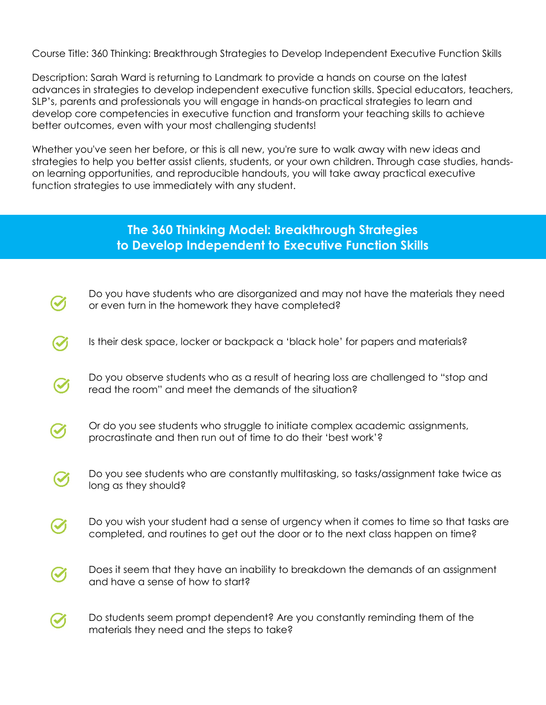Course Title: 360 Thinking: Breakthrough Strategies to Develop Independent Executive Function Skills

Description: Sarah Ward is returning to Landmark to provide a hands on course on the latest advances in strategies to develop independent executive function skills. Special educators, teachers, SLP's, parents and professionals you will engage in hands-on practical strategies to learn and develop core competencies in executive function and transform your teaching skills to achieve better outcomes, even with your most challenging students!

Whether you've seen her before, or this is all new, you're sure to walk away with new ideas and strategies to help you better assist clients, students, or your own children. Through case studies, handson learning opportunities, and reproducible handouts, you will take away practical executive function strategies to use immediately with any student.

## **The 360 Thinking Model: Breakthrough Strategies to Develop Independent to Executive Function Skills**

- Do you have students who are disorganized and may not have the materials they need or even turn in the homework they have completed?
- Is their desk space, locker or backpack a 'black hole' for papers and materials?
- Do you observe students who as a result of hearing loss are challenged to "stop and read the room" and meet the demands of the situation?
- Or do you see students who struggle to initiate complex academic assignments, procrastinate and then run out of time to do their 'best work'?
- Do you see students who are constantly multitasking, so tasks/assignment take twice as  $\left(\checkmark\right)$ long as they should?
- Do you wish your student had a sense of urgency when it comes to time so that tasks are completed, and routines to get out the door or to the next class happen on time?
- Does it seem that they have an inability to breakdown the demands of an assignment  $\boldsymbol{\mathcal{U}}$ and have a sense of how to start?
- Do students seem prompt dependent? Are you constantly reminding them of the  $\blacktriangledown$ materials they need and the steps to take?